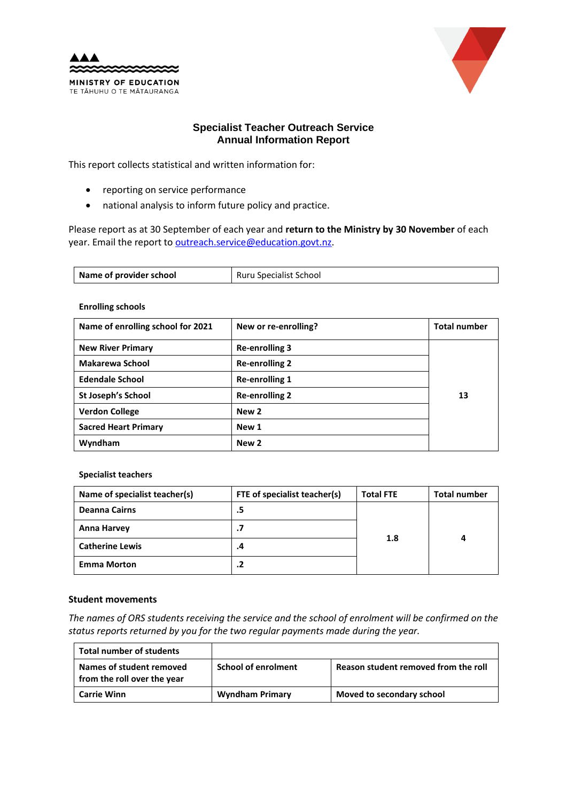



# **Specialist Teacher Outreach Service Annual Information Report**

This report collects statistical and written information for:

- reporting on service performance
- national analysis to inform future policy and practice.

Please report as at 30 September of each year and **return to the Ministry by 30 November** of each year. Email the report to [outreach.service@education.govt.nz.](mailto:outreach.service@education.govt.nz)

| Name of provider school | Ruru Specialist School |
|-------------------------|------------------------|
|                         |                        |

#### **Enrolling schools**

| Name of enrolling school for 2021 | New or re-enrolling?  | <b>Total number</b> |
|-----------------------------------|-----------------------|---------------------|
| <b>New River Primary</b>          | <b>Re-enrolling 3</b> |                     |
| Makarewa School                   | <b>Re-enrolling 2</b> |                     |
| <b>Edendale School</b>            | <b>Re-enrolling 1</b> |                     |
| St Joseph's School                | <b>Re-enrolling 2</b> | 13                  |
| <b>Verdon College</b>             | New 2                 |                     |
| <b>Sacred Heart Primary</b>       | New 1                 |                     |
| Wyndham                           | New 2                 |                     |

#### **Specialist teachers**

| Name of specialist teacher(s) | FTE of specialist teacher(s) | <b>Total FTE</b> | <b>Total number</b> |
|-------------------------------|------------------------------|------------------|---------------------|
| Deanna Cairns                 | .5                           | 1.8              | 4                   |
| Anna Harvey                   | .7                           |                  |                     |
| <b>Catherine Lewis</b>        | .4                           |                  |                     |
| <b>Emma Morton</b>            | .2                           |                  |                     |

## **Student movements**

*The names of ORS students receiving the service and the school of enrolment will be confirmed on the status reports returned by you for the two regular payments made during the year.*

| Total number of students                                |                            |                                      |
|---------------------------------------------------------|----------------------------|--------------------------------------|
| Names of student removed<br>from the roll over the year | <b>School of enrolment</b> | Reason student removed from the roll |
| <b>Carrie Winn</b>                                      | <b>Wyndham Primary</b>     | Moved to secondary school            |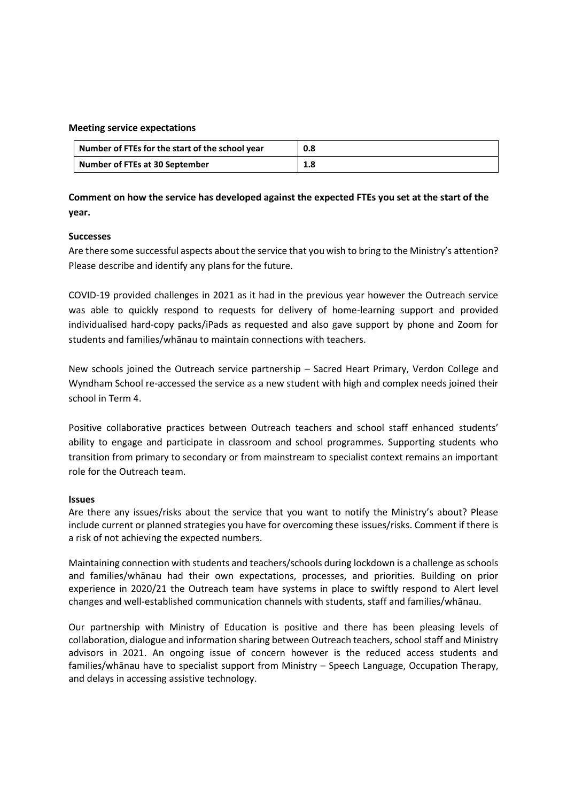#### **Meeting service expectations**

| Number of FTEs for the start of the school year | 0.8 |
|-------------------------------------------------|-----|
| Number of FTEs at 30 September                  | 1.8 |

**Comment on how the service has developed against the expected FTEs you set at the start of the year.** 

# **Successes**

Are there some successful aspects about the service that you wish to bring to the Ministry's attention? Please describe and identify any plans for the future.

COVID-19 provided challenges in 2021 as it had in the previous year however the Outreach service was able to quickly respond to requests for delivery of home-learning support and provided individualised hard-copy packs/iPads as requested and also gave support by phone and Zoom for students and families/whānau to maintain connections with teachers.

New schools joined the Outreach service partnership – Sacred Heart Primary, Verdon College and Wyndham School re-accessed the service as a new student with high and complex needs joined their school in Term 4.

Positive collaborative practices between Outreach teachers and school staff enhanced students' ability to engage and participate in classroom and school programmes. Supporting students who transition from primary to secondary or from mainstream to specialist context remains an important role for the Outreach team.

# **Issues**

Are there any issues/risks about the service that you want to notify the Ministry's about? Please include current or planned strategies you have for overcoming these issues/risks. Comment if there is a risk of not achieving the expected numbers.

Maintaining connection with students and teachers/schools during lockdown is a challenge as schools and families/whānau had their own expectations, processes, and priorities. Building on prior experience in 2020/21 the Outreach team have systems in place to swiftly respond to Alert level changes and well-established communication channels with students, staff and families/whānau.

Our partnership with Ministry of Education is positive and there has been pleasing levels of collaboration, dialogue and information sharing between Outreach teachers, school staff and Ministry advisors in 2021. An ongoing issue of concern however is the reduced access students and families/whānau have to specialist support from Ministry – Speech Language, Occupation Therapy, and delays in accessing assistive technology.